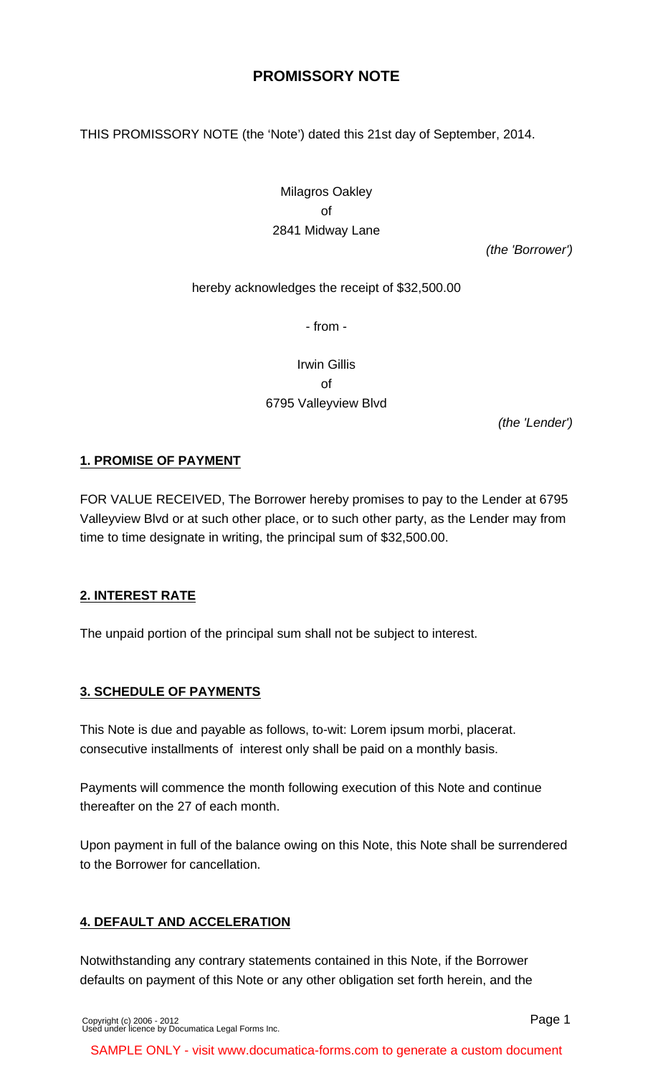# **PROMISSORY NOTE**

THIS PROMISSORY NOTE (the 'Note') dated this 21st day of September, 2014.

Milagros Oakley of 2841 Midway Lane

(the 'Borrower')

#### hereby acknowledges the receipt of \$32,500.00

- from -

Irwin Gillis of 6795 Valleyview Blvd

(the 'Lender')

#### **1. PROMISE OF PAYMENT**

FOR VALUE RECEIVED, The Borrower hereby promises to pay to the Lender at 6795 Valleyview Blvd or at such other place, or to such other party, as the Lender may from time to time designate in writing, the principal sum of \$32,500.00.

#### **2. INTEREST RATE**

The unpaid portion of the principal sum shall not be subject to interest.

## **3. SCHEDULE OF PAYMENTS**

This Note is due and payable as follows, to-wit: Lorem ipsum morbi, placerat. consecutive installments of interest only shall be paid on a monthly basis.

Payments will commence the month following execution of this Note and continue thereafter on the 27 of each month.

Upon payment in full of the balance owing on this Note, this Note shall be surrendered to the Borrower for cancellation.

#### **4. DEFAULT AND ACCELERATION**

Notwithstanding any contrary statements contained in this Note, if the Borrower defaults on payment of this Note or any other obligation set forth herein, and the

SAMPLE ONLY - visit www.documatica-forms.com to generate a custom document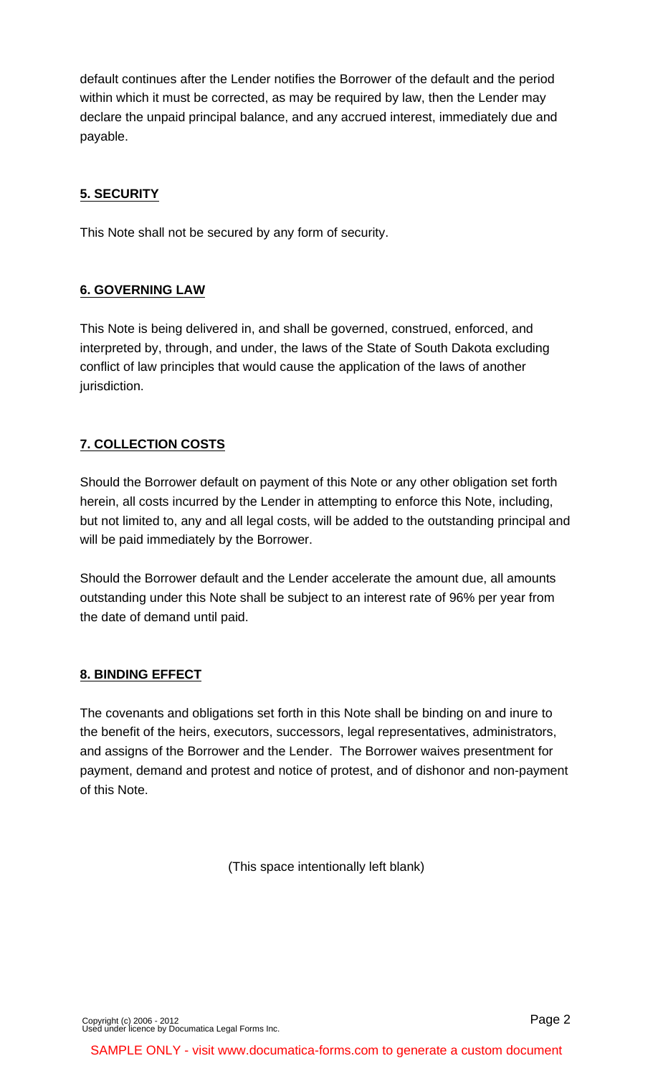default continues after the Lender notifies the Borrower of the default and the period within which it must be corrected, as may be required by law, then the Lender may declare the unpaid principal balance, and any accrued interest, immediately due and payable.

# **5. SECURITY**

This Note shall not be secured by any form of security.

## **6. GOVERNING LAW**

This Note is being delivered in, and shall be governed, construed, enforced, and interpreted by, through, and under, the laws of the State of South Dakota excluding conflict of law principles that would cause the application of the laws of another jurisdiction.

# **7. COLLECTION COSTS**

Should the Borrower default on payment of this Note or any other obligation set forth herein, all costs incurred by the Lender in attempting to enforce this Note, including, but not limited to, any and all legal costs, will be added to the outstanding principal and will be paid immediately by the Borrower.

Should the Borrower default and the Lender accelerate the amount due, all amounts outstanding under this Note shall be subject to an interest rate of 96% per year from the date of demand until paid.

## **8. BINDING EFFECT**

The covenants and obligations set forth in this Note shall be binding on and inure to the benefit of the heirs, executors, successors, legal representatives, administrators, and assigns of the Borrower and the Lender. The Borrower waives presentment for payment, demand and protest and notice of protest, and of dishonor and non-payment of this Note.

(This space intentionally left blank)